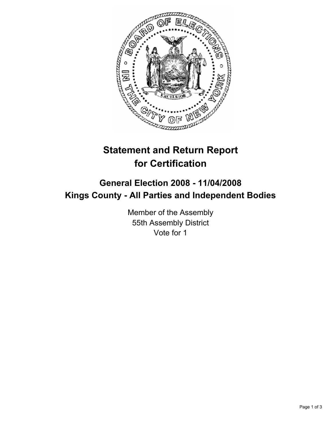

# **Statement and Return Report for Certification**

## **General Election 2008 - 11/04/2008 Kings County - All Parties and Independent Bodies**

Member of the Assembly 55th Assembly District Vote for 1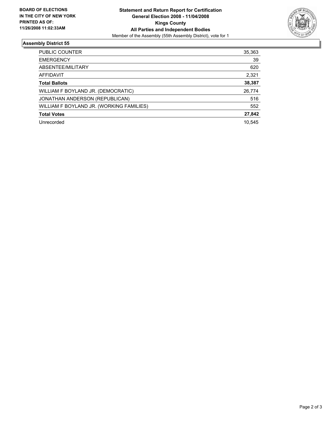

### **Assembly District 55**

| PUBLIC COUNTER                           | 35,363 |
|------------------------------------------|--------|
| <b>EMERGENCY</b>                         | 39     |
| ABSENTEE/MILITARY                        | 620    |
| AFFIDAVIT                                | 2,321  |
| <b>Total Ballots</b>                     | 38,387 |
| WILLIAM F BOYLAND JR. (DEMOCRATIC)       | 26,774 |
| JONATHAN ANDERSON (REPUBLICAN)           | 516    |
| WILLIAM F BOYLAND JR. (WORKING FAMILIES) | 552    |
| <b>Total Votes</b>                       | 27,842 |
| Unrecorded                               | 10,545 |
|                                          |        |